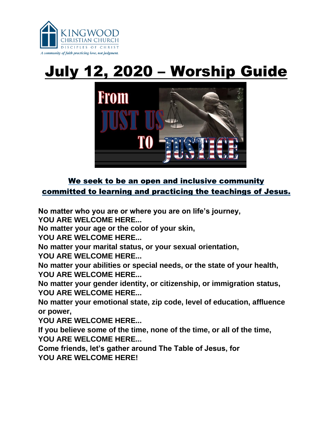

# July 12, 2020 – Worship Guide



## We seek to be an open and inclusive community committed to learning and practicing the teachings of Jesus.

**No matter who you are or where you are on life's journey,** 

**YOU ARE WELCOME HERE...**

**No matter your age or the color of your skin,**

**YOU ARE WELCOME HERE...**

**No matter your marital status, or your sexual orientation,**

**YOU ARE WELCOME HERE...**

**No matter your abilities or special needs, or the state of your health, YOU ARE WELCOME HERE...**

**No matter your gender identity, or citizenship, or immigration status, YOU ARE WELCOME HERE...**

**No matter your emotional state, zip code, level of education, affluence or power,** 

**YOU ARE WELCOME HERE...**

**If you believe some of the time, none of the time, or all of the time, YOU ARE WELCOME HERE...**

**Come friends, let's gather around The Table of Jesus, for YOU ARE WELCOME HERE!**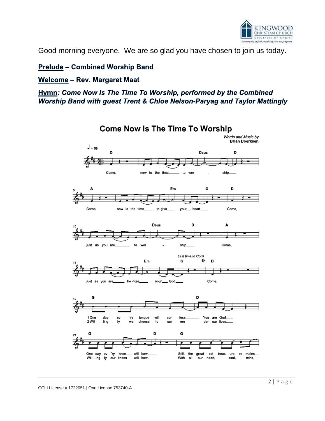

Good morning everyone. We are so glad you have chosen to join us today.

#### **Prelude - Combined Worship Band**

#### **Welcome - Rev. Margaret Maat**

#### Hymn: Come Now Is The Time To Worship, performed by the Combined Worship Band with guest Trent & Chloe Nelson-Paryag and Taylor Mattingly



**Come Now Is The Time To Worship**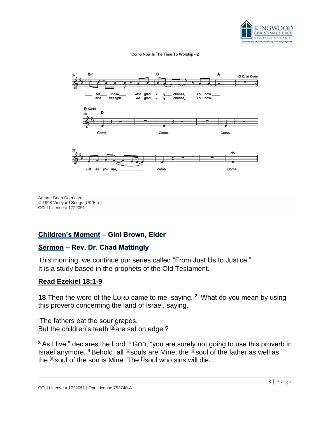

#### Come Now Is The Time To Worship - 2



Author: Brian Doerksen © 1998 Vineyard Songs (UK/Eire) CCLI License # 1722051

#### Children's Moment - Gini Brown, Elder

#### **Sermon - Rev. Dr. Chad Mattingly**

This morning, we continue our series called "From Just Us to Justice." It is a study based in the prophets of the Old Testament.

#### **Read Ezekiel 18:1-9**

**18** Then the word of the LORD came to me, saying, **<sup>2</sup>** "What do you mean by using this proverb concerning the land of Israel, saying,

'The fathers eat the sour grapes, But the children's teeth [\[a\]](https://www.biblegateway.com/passage/?search=Ezekiel+18%3A1-9&version=NASB#fen-NASB-20852a)are set on edge'?

<sup>3</sup> As I live," declares the Lord [\[b\]](https://www.biblegateway.com/passage/?search=Ezekiel+18%3A1-9&version=NASB#fen-NASB-20853b)GOD, "you are surely not going to use this proverb in Israel anymore. <sup>4</sup> Behold, all <sup>[\[c\]](https://www.biblegateway.com/passage/?search=Ezekiel+18%3A1-9&version=NASB#fen-NASB-20854c)</sup>souls are Mine; the <sup>[\[d\]](https://www.biblegateway.com/passage/?search=Ezekiel+18%3A1-9&version=NASB#fen-NASB-20854d)</sup>soul of the father as well as the  $[el$ soul of the son is Mine. The  $[el]$ soul who sins will die.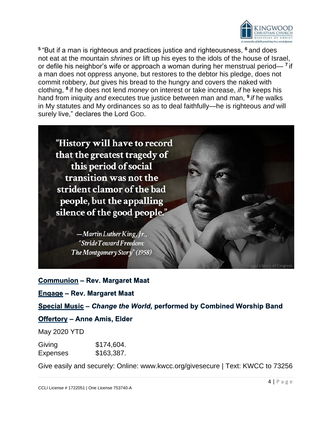

**5** "But if a man is righteous and practices justice and righteousness, **<sup>6</sup>** and does not eat at the mountain *shrines* or lift up his eyes to the idols of the house of Israel, or defile his neighbor's wife or approach a woman during her menstrual period— **<sup>7</sup>** if a man does not oppress anyone, but restores to the debtor his pledge, does not commit robbery, *but* gives his bread to the hungry and covers the naked with clothing, **<sup>8</sup>** if he does not lend *money* on interest or take increase, *if* he keeps his hand from iniquity *and* executes true justice between man and man, **<sup>9</sup>** *if* he walks in My statutes and My ordinances so as to deal faithfully—he is righteous *and* will surely live," declares the Lord GOD.

"History will have to record that the greatest tragedy of this period of social transition was not the strident clamor of the bad people, but the appalling silence of the good people."

> $-Martin Luther King, Jr.,$ "StrideToward Freedom: The Montgomery Story" (1958)

#### **Communion - Rev. Margaret Maat**

**Engage - Rev. Margaret Maat** 

Special Music - Change the World, performed by Combined Worship Band

#### **Offertory - Anne Amis, Elder**

May 2020 YTD

| Giving          | \$174,604. |
|-----------------|------------|
| <b>Expenses</b> | \$163,387. |

Give easily and securely: Online: www.kwcc.org/givesecure | Text: KWCC to 73256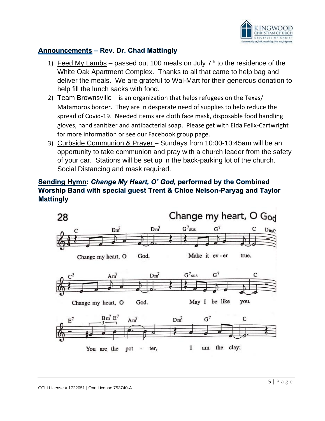

### Announcements - Rev. Dr. Chad Mattingly

- 1) Feed My Lambs passed out 100 meals on July  $7<sup>th</sup>$  to the residence of the White Oak Apartment Complex. Thanks to all that came to help bag and deliver the meals. We are grateful to Wal-Mart for their generous donation to help fill the lunch sacks with food.
- 2) Team Brownsville is an organization that helps refugees on the Texas/ Matamoros border. They are in desperate need of supplies to help reduce the spread of Covid-19. Needed items are cloth face mask, disposable food handling gloves, hand sanitizer and antibacterial soap. Please get with Elda Felix-Cartwright for more information or see our Facebook group page.
- 3) Curbside Communion & Prayer Sundays from 10:00-10:45am will be an opportunity to take communion and pray with a church leader from the safety of your car. Stations will be set up in the back-parking lot of the church. Social Distancing and mask required.

#### Sending Hymn: Change My Heart, O' God, performed by the Combined Worship Band with special guest Trent & Chloe Nelson-Paryag and Taylor **Mattingly**